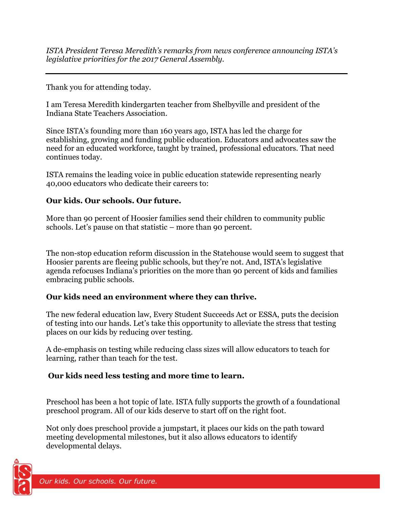*ISTA President Teresa Meredith's remarks from news conference announcing ISTA's legislative priorities for the 2017 General Assembly.* 

Thank you for attending today.

I am Teresa Meredith kindergarten teacher from Shelbyville and president of the Indiana State Teachers Association.

Since ISTA's founding more than 160 years ago, ISTA has led the charge for establishing, growing and funding public education. Educators and advocates saw the need for an educated workforce, taught by trained, professional educators. That need continues today.

ISTA remains the leading voice in public education statewide representing nearly 40,000 educators who dedicate their careers to:

### **Our kids. Our schools. Our future.**

More than 90 percent of Hoosier families send their children to community public schools. Let's pause on that statistic – more than 90 percent.

The non-stop education reform discussion in the Statehouse would seem to suggest that Hoosier parents are fleeing public schools, but they're not. And, ISTA's legislative agenda refocuses Indiana's priorities on the more than 90 percent of kids and families embracing public schools.

# **Our kids need an environment where they can thrive.**

The new federal education law, Every Student Succeeds Act or ESSA, puts the decision of testing into our hands. Let's take this opportunity to alleviate the stress that testing places on our kids by reducing over testing.

A de-emphasis on testing while reducing class sizes will allow educators to teach for learning, rather than teach for the test.

# **Our kids need less testing and more time to learn.**

Preschool has been a hot topic of late. ISTA fully supports the growth of a foundational preschool program. All of our kids deserve to start off on the right foot.

Not only does preschool provide a jumpstart, it places our kids on the path toward meeting developmental milestones, but it also allows educators to identify developmental delays.

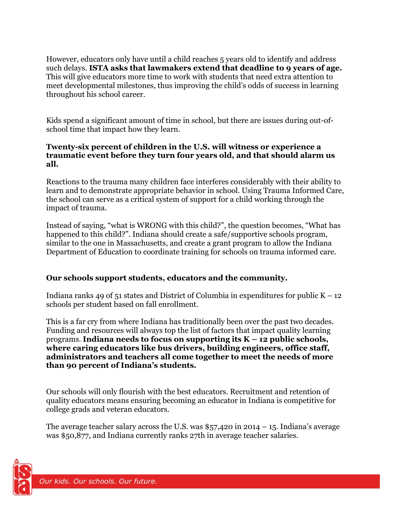However, educators only have until a child reaches 5 years old to identify and address such delays. **ISTA asks that lawmakers extend that deadline to 9 years of age.** This will give educators more time to work with students that need extra attention to meet developmental milestones, thus improving the child's odds of success in learning throughout his school career.

Kids spend a significant amount of time in school, but there are issues during out-ofschool time that impact how they learn.

#### **Twenty-six percent of children in the U.S. will witness or experience a traumatic event before they turn four years old, and that should alarm us all.**

Reactions to the trauma many children face interferes considerably with their ability to learn and to demonstrate appropriate behavior in school. Using Trauma Informed Care, the school can serve as a critical system of support for a child working through the impact of trauma.

Instead of saying, "what is WRONG with this child?", the question becomes, "What has happened to this child?". Indiana should create a safe/supportive schools program, similar to the one in Massachusetts, and create a grant program to allow the Indiana Department of Education to coordinate training for schools on trauma informed care.

# **Our schools support students, educators and the community.**

Indiana ranks 49 of 51 states and District of Columbia in expenditures for public  $K - 12$ schools per student based on fall enrollment.

This is a far cry from where Indiana has traditionally been over the past two decades. Funding and resources will always top the list of factors that impact quality learning programs. **Indiana needs to focus on supporting its K – 12 public schools, where caring educators like bus drivers, building engineers, office staff, administrators and teachers all come together to meet the needs of more than 90 percent of Indiana's students.**

Our schools will only flourish with the best educators. Recruitment and retention of quality educators means ensuring becoming an educator in Indiana is competitive for college grads and veteran educators.

The average teacher salary across the U.S. was  $$57,420$  in 2014 – 15. Indiana's average was \$50,877, and Indiana currently ranks 27th in average teacher salaries.

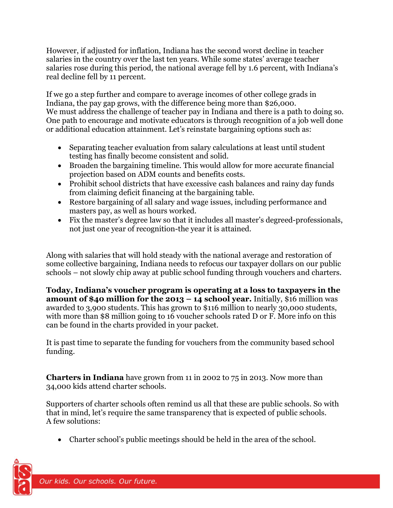However, if adjusted for inflation, Indiana has the second worst decline in teacher salaries in the country over the last ten years. While some states' average teacher salaries rose during this period, the national average fell by 1.6 percent, with Indiana's real decline fell by 11 percent.

If we go a step further and compare to average incomes of other college grads in Indiana, the pay gap grows, with the difference being more than \$26,000. We must address the challenge of teacher pay in Indiana and there is a path to doing so. One path to encourage and motivate educators is through recognition of a job well done or additional education attainment. Let's reinstate bargaining options such as:

- Separating teacher evaluation from salary calculations at least until student testing has finally become consistent and solid.
- Broaden the bargaining timeline. This would allow for more accurate financial projection based on ADM counts and benefits costs.
- Prohibit school districts that have excessive cash balances and rainy day funds from claiming deficit financing at the bargaining table.
- Restore bargaining of all salary and wage issues, including performance and masters pay, as well as hours worked.
- Fix the master's degree law so that it includes all master's degreed-professionals, not just one year of recognition-the year it is attained.

Along with salaries that will hold steady with the national average and restoration of some collective bargaining, Indiana needs to refocus our taxpayer dollars on our public schools – not slowly chip away at public school funding through vouchers and charters.

**Today, Indiana's voucher program is operating at a loss to taxpayers in the amount of \$40 million for the 2013 – 14 school year.** Initially, \$16 million was awarded to 3,900 students. This has grown to \$116 million to nearly 30,000 students, with more than \$8 million going to 16 voucher schools rated D or F. More info on this can be found in the charts provided in your packet.

It is past time to separate the funding for vouchers from the community based school funding.

**Charters in Indiana** have grown from 11 in 2002 to 75 in 2013. Now more than 34,000 kids attend charter schools.

Supporters of charter schools often remind us all that these are public schools. So with that in mind, let's require the same transparency that is expected of public schools. A few solutions:

Charter school's public meetings should be held in the area of the school.

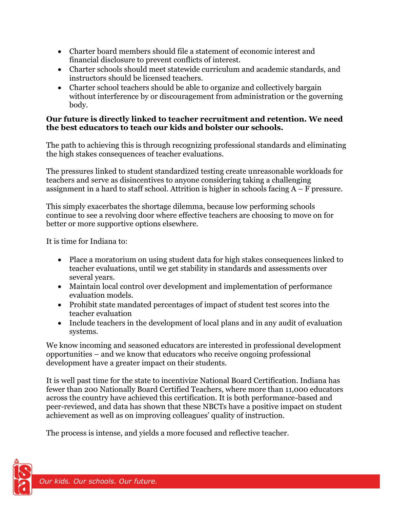- Charter board members should file a statement of economic interest and financial disclosure to prevent conflicts of interest.
- Charter schools should meet statewide curriculum and academic standards, and instructors should be licensed teachers.
- Charter school teachers should be able to organize and collectively bargain without interference by or discouragement from administration or the governing body.

### **Our future is directly linked to teacher recruitment and retention. We need the best educators to teach our kids and bolster our schools.**

The path to achieving this is through recognizing professional standards and eliminating the high stakes consequences of teacher evaluations.

The pressures linked to student standardized testing create unreasonable workloads for teachers and serve as disincentives to anyone considering taking a challenging assignment in a hard to staff school. Attrition is higher in schools facing  $A - F$  pressure.

This simply exacerbates the shortage dilemma, because low performing schools continue to see a revolving door where effective teachers are choosing to move on for better or more supportive options elsewhere.

It is time for Indiana to:

- Place a moratorium on using student data for high stakes consequences linked to teacher evaluations, until we get stability in standards and assessments over several years.
- Maintain local control over development and implementation of performance evaluation models.
- Prohibit state mandated percentages of impact of student test scores into the teacher evaluation
- Include teachers in the development of local plans and in any audit of evaluation systems.

We know incoming and seasoned educators are interested in professional development opportunities – and we know that educators who receive ongoing professional development have a greater impact on their students.

It is well past time for the state to incentivize National Board Certification. Indiana has fewer than 200 Nationally Board Certified Teachers, where more than 11,000 educators across the country have achieved this certification. It is both performance-based and peer-reviewed, and data has shown that these NBCTs have a positive impact on student achievement as well as on improving colleagues' quality of instruction.

The process is intense, and yields a more focused and reflective teacher.